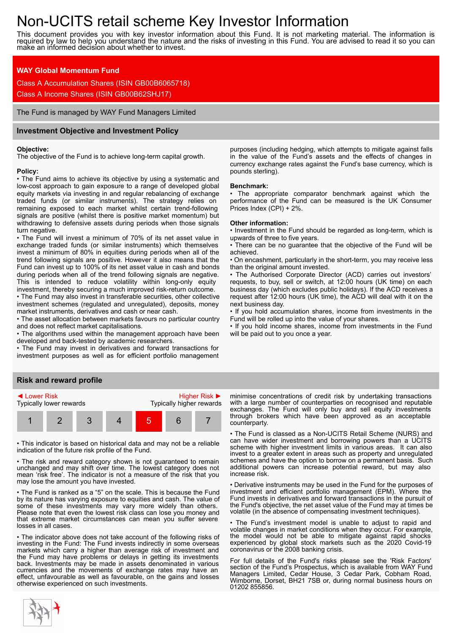# Non-UCITS retail scheme Key Investor Information

This document provides you with key investor information about this Fund. It is not marketing material. The information is required by law to help you understand the nature and the risks of investing in this Fund. You are advised to read it so you can make an informed decision about whether to invest.

# **WAY Global Momentum Fund**

Class A Accumulation Shares (ISIN GB00B6065718)

Class A Income Shares (ISIN GB00B62SHJ17)

The Fund is managed by WAY Fund Managers Limited

# **Investment Objective and Investment Policy**

#### **Objective:**

The objective of the Fund is to achieve long-term capital growth.

## **Policy:**

• The Fund aims to achieve its objective by using a systematic and low-cost approach to gain exposure to a range of developed global equity markets via investing in and regular rebalancing of exchange traded funds (or similar instruments). The strategy relies on remaining exposed to each market whilst certain trend-following signals are positive (whilst there is positive market momentum) but withdrawing to defensive assets during periods when those signals turn negative.

• The Fund will invest a minimum of 70% of its net asset value in exchange traded funds (or similar instruments) which themselves invest a minimum of 80% in equities during periods when all of the trend following signals are positive. However it also means that the Fund can invest up to 100% of its net asset value in cash and bonds during periods when all of the trend following signals are negative. This is intended to reduce volatility within long-only equity investment, thereby securing a much improved risk-return outcome.

• The Fund may also invest in transferable securities, other collective investment schemes (regulated and unregulated), deposits, money market instruments, derivatives and cash or near cash.

• The asset allocation between markets favours no particular country and does not reflect market capitalisations.

• The algorithms used within the management approach have been developed and back-tested by academic researchers.

• The Fund may invest in derivatives and forward transactions for investment purposes as well as for efficient portfolio management

## **Risk and reward profile**



• This indicator is based on historical data and may not be a reliable indication of the future risk profile of the Fund.

• The risk and reward category shown is not guaranteed to remain unchanged and may shift over time. The lowest category does not mean 'risk free'. The indicator is not a measure of the risk that you may lose the amount you have invested.

• The Fund is ranked as a "5" on the scale. This is because the Fund by its nature has varying exposure to equities and cash. The value of some of these investments may vary more widely than others. Please note that even the lowest risk class can lose you money and that extreme market circumstances can mean you suffer severe losses in all cases.

• The indicator above does not take account of the following risks of investing in the Fund: The Fund invests indirectly in some overseas markets which carry a higher than average risk of investment and the Fund may have problems or delays in getting its investments back. Investments may be made in assets denominated in various currencies and the movements of exchange rates may have an effect, unfavourable as well as favourable, on the gains and losses otherwise experienced on such investments.

on repayment or not deliver its side of the deal. The dealer its side of the deal. The deal. The deal. The Fund aims to the deal

purposes (including hedging, which attempts to mitigate against falls in the value of the Fund's assets and the effects of changes in currency exchange rates against the Fund's base currency, which is pounds sterling).

#### **Benchmark:**

• The appropriate comparator benchmark against which the performance of the Fund can be measured is the UK Consumer Prices Index (CPI) + 2%.

#### **Other information:**

• Investment in the Fund should be regarded as long-term, which is upwards of three to five years.

• There can be no guarantee that the objective of the Fund will be achieved.

• On encashment, particularly in the short-term, you may receive less than the original amount invested.

• The Authorised Corporate Director (ACD) carries out investors' requests, to buy, sell or switch, at 12:00 hours (UK time) on each business day (which excludes public holidays). If the ACD receives a request after 12:00 hours (UK time), the ACD will deal with it on the next business day.

• If you hold accumulation shares, income from investments in the Fund will be rolled up into the value of your shares.

• If you hold income shares, income from investments in the Fund will be paid out to you once a year.

minimise concentrations of credit risk by undertaking transactions with a large number of counterparties on recognised and reputable exchanges. The Fund will only buy and sell equity investments through brokers which have been approved as an acceptable counterparty.

• The Fund is classed as a Non-UCITS Retail Scheme (NURS) and can have wider investment and borrowing powers than a UCITS scheme with higher investment limits in various areas. It can also invest to a greater extent in areas such as property and unregulated schemes and have the option to borrow on a permanent basis. Such additional powers can increase potential reward, but may also increase risk.

• Derivative instruments may be used in the Fund for the purposes of investment and efficient portfolio management (EPM). Where the Fund invests in derivatives and forward transactions in the pursuit of the Fund's objective, the net asset value of the Fund may at times be volatile (in the absence of compensating investment techniques).

The Fund's investment model is unable to adjust to rapid and volatile changes in market conditions when they occur. For example, the model would not be able to mitigate against rapid shocks experienced by global stock markets such as the 2020 Covid-19 coronavirus or the 2008 banking crisis.

For full details of the Fund's risks please see the 'Risk Factors' section of the Fund's Prospectus, which is available from WAY Fund Managers Limited, Cedar House, 3 Cedar Park, Cobham Road, Wimborne, Dorset, BH21 7SB or, during normal business hours on 01202 855856.